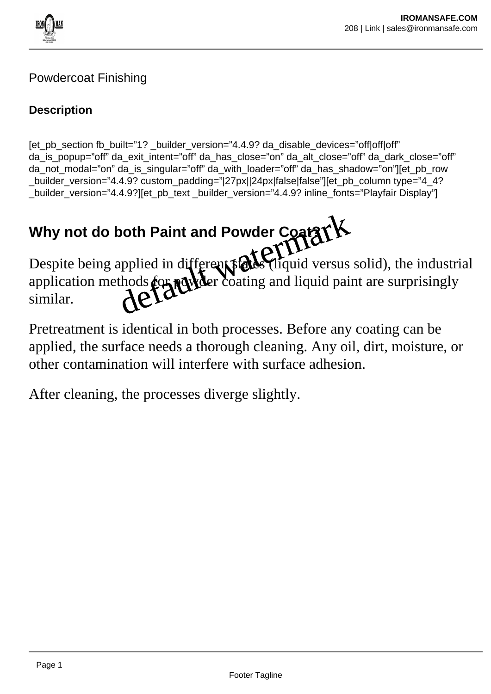

### Powdercoat Finishing

### **Description**

[et\_pb\_section fb\_built="1? \_builder\_version="4.4.9? da\_disable\_devices="off|off|off" da\_is\_popup="off" da\_exit\_intent="off" da\_has\_close="on" da\_alt\_close="off" da\_dark\_close="off" da not modal="on" da is singular="off" da with loader="off" da has shadow="on"][et pb\_row builder\_version="4.4.9? custom\_padding="|27px||24px|false|false"][et\_pb\_column type="4\_4? \_builder\_version="4.4.9?][et\_pb\_text \_builder\_version="4.4.9? inline\_fonts="Playfair Display"]

# Why not do both Paint and Powder Coat XX

Despite being applied in different states (liquid versus solid), the industrial application methods **for powder** coating and liquid paint are surprisingly similar. both Paint and Powder Coatar K<br>applied in different rade (liquid versus<br>thods for reducer coating and liquid pai

Pretreatment is identical in both processes. Before any coating can be applied, the surface needs a thorough cleaning. Any oil, dirt, moisture, or other contamination will interfere with surface adhesion.

After cleaning, the processes diverge slightly.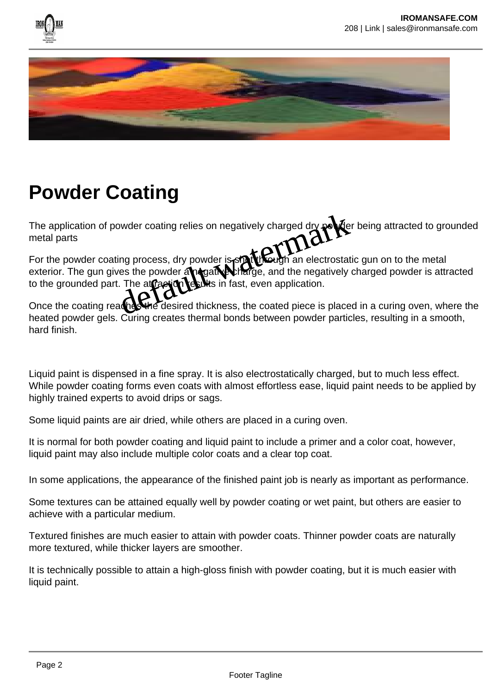



## **Powder Coating**

The application of powder coating relies on negatively charged dry powder being attracted to grounded metal parts

For the powder coating process, dry powder is shaft through an electrostatic gun on to the metal exterior. The gun gives the powder an equative charge, and the negatively charged powder is attracted to the grounded part. The attraction results in fast, even application. by der coating relies on negatively charged dry politically<br>ing process, dry powder is static water an electrostat<br>res the powder an electrostative and the negatively<br>. The atraction sum fast, even application.<br>and the des

Once the coating reaches the desired thickness, the coated piece is placed in a curing oven, where the heated powder gels. Curing creates thermal bonds between powder particles, resulting in a smooth, hard finish.

Liquid paint is dispensed in a fine spray. It is also electrostatically charged, but to much less effect. While powder coating forms even coats with almost effortless ease, liquid paint needs to be applied by highly trained experts to avoid drips or sags.

Some liquid paints are air dried, while others are placed in a curing oven.

It is normal for both powder coating and liquid paint to include a primer and a color coat, however, liquid paint may also include multiple color coats and a clear top coat.

In some applications, the appearance of the finished paint job is nearly as important as performance.

Some textures can be attained equally well by powder coating or wet paint, but others are easier to achieve with a particular medium.

Textured finishes are much easier to attain with powder coats. Thinner powder coats are naturally more textured, while thicker layers are smoother.

It is technically possible to attain a high-gloss finish with powder coating, but it is much easier with liquid paint.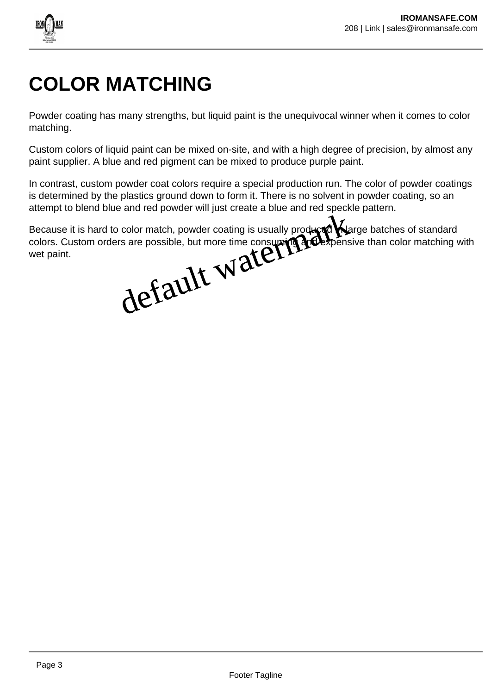

# **COLOR MATCHING**

Powder coating has many strengths, but liquid paint is the unequivocal winner when it comes to color matching.

Custom colors of liquid paint can be mixed on-site, and with a high degree of precision, by almost any paint supplier. A blue and red pigment can be mixed to produce purple paint.

In contrast, custom powder coat colors require a special production run. The color of powder coatings is determined by the plastics ground down to form it. There is no solvent in powder coating, so an attempt to blend blue and red powder will just create a blue and red speckle pattern.

Because it is hard to color match, powder coating is usually produced in large batches of standard colors. Custom orders are possible, but more time consuming and expensive than color matching with wet paint. color match, powder coating is usually produced Na

Page 3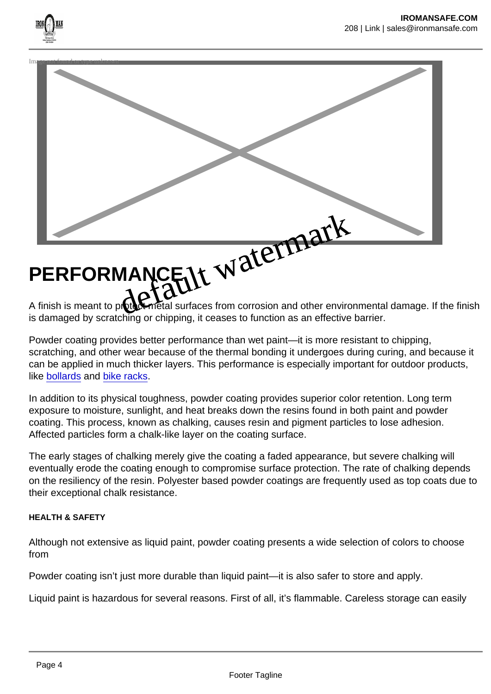

is damaged by scratching or chipping, it ceases to function as an effective barrier.

Powder coating provides better performance than wet paint—it is more resistant to chipping, scratching, and other wear because of the thermal bonding it undergoes during curing, and because it can be applied in much thicker layers. This performance is especially important for outdoor products, like [bollards](https://www.reliance-foundry.com/bollard) and [bike racks](https://www.reliance-foundry.com/bike-parking/bike-racks).

In addition to its physical toughness, powder coating provides superior color retention. Long term exposure to moisture, sunlight, and heat breaks down the resins found in both paint and powder coating. This process, known as chalking, causes resin and pigment particles to lose adhesion. Affected particles form a chalk-like layer on the coating surface.

The early stages of chalking merely give the coating a faded appearance, but severe chalking will eventually erode the coating enough to compromise surface protection. The rate of chalking depends on the resiliency of the resin. Polyester based powder coatings are frequently used as top coats due to their exceptional chalk resistance.

HEALTH & SAFETY

Although not extensive as liquid paint, powder coating presents a wide selection of colors to choose from

Powder coating isn't just more durable than liquid paint—it is also safer to store and apply.

Liquid paint is hazardous for several reasons. First of all, it's flammable. Careless storage can easily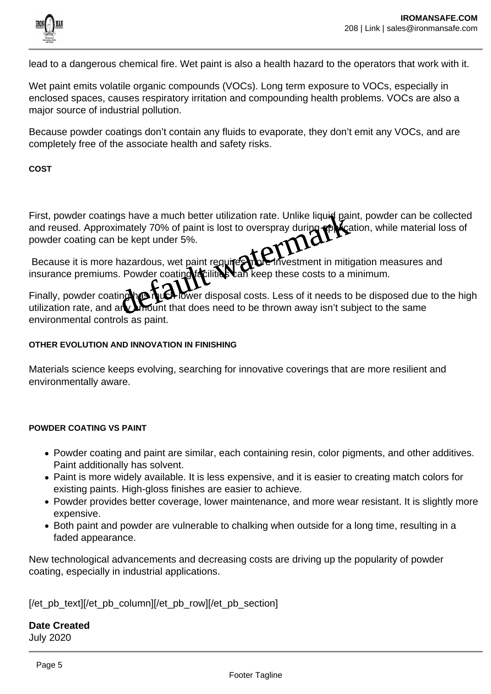

lead to a dangerous chemical fire. Wet paint is also a health hazard to the operators that work with it.

Wet paint emits volatile organic compounds (VOCs). Long term exposure to VOCs, especially in enclosed spaces, causes respiratory irritation and compounding health problems. VOCs are also a major source of industrial pollution.

Because powder coatings don't contain any fluids to evaporate, they don't emit any VOCs, and are completely free of the associate health and safety risks.

**COST**

First, powder coatings have a much better utilization rate. Unlike liquid paint, powder can be collected and reused. Approximately 70% of paint is lost to overspray during application, while material loss of powder coating can be kept under 5%. The Rept was a much better utilization rate. Unlike liquid paid mately 70% of paint is lost to overspray during application be kept under 5%.<br>The kept under 5%.<br>The kept under 5%.<br>The coating facilities can keep these cost

Because it is more hazardous, wet paint requires more investment in mitigation measures and insurance premiums. Powder coating facilities can keep these costs to a minimum.

Finally, powder coating has much lower disposal costs. Less of it needs to be disposed due to the high utilization rate, and any amount that does need to be thrown away isn't subject to the same environmental controls as paint.

#### **OTHER EVOLUTION AND INNOVATION IN FINISHING**

Materials science keeps evolving, searching for innovative coverings that are more resilient and environmentally aware.

#### **POWDER COATING VS PAINT**

- Powder coating and paint are similar, each containing resin, color pigments, and other additives. Paint additionally has solvent.
- Paint is more widely available. It is less expensive, and it is easier to creating match colors for existing paints. High-gloss finishes are easier to achieve.
- Powder provides better coverage, lower maintenance, and more wear resistant. It is slightly more expensive.
- Both paint and powder are vulnerable to chalking when outside for a long time, resulting in a faded appearance.

New technological advancements and decreasing costs are driving up the popularity of powder coating, especially in industrial applications.

[/et\_pb\_text][/et\_pb\_column][/et\_pb\_row][/et\_pb\_section]

**Date Created** July 2020